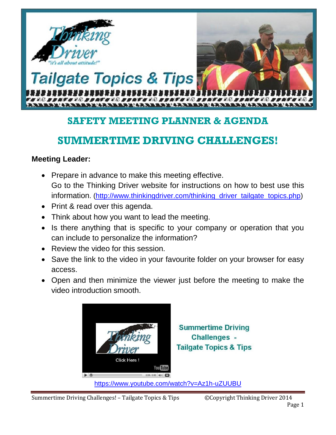

## **SAFETY MEETING PLANNER & AGENDA**

# **SUMMERTIME DRIVING CHALLENGES!**

### **Meeting Leader:**

- Prepare in advance to make this meeting effective. Go to the Thinking Driver website for instructions on how to best use this information. [\(http://www.thinkingdriver.com/thinking\\_driver\\_tailgate\\_topics.php\)](http://www.thinkingdriver.com/thinking_driver_tailgate_topics.php)
- Print & read over this agenda.
- Think about how you want to lead the meeting.
- Is there anything that is specific to your company or operation that you can include to personalize the information?
- Review the video for this session.
- Save the link to the video in your favourite folder on your browser for easy access.
- Open and then minimize the viewer just before the meeting to make the video introduction smooth.

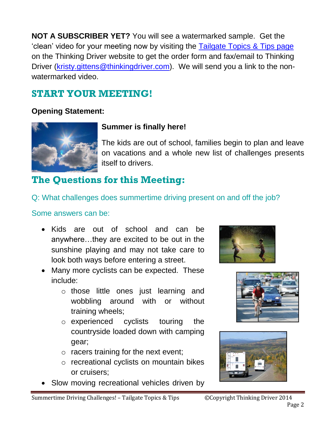**NOT A SUBSCRIBER YET?** You will see a watermarked sample. Get the 'clean' video for your meeting now by visiting the [Tailgate Topics & Tips page](http://www.thinkingdriver.com/thinking_driver_tailgate_topics.php) on the Thinking Driver website to get the order form and fax/email to Thinking Driver [\(kristy.gittens@thinkingdriver.com\)](mailto:kristy.gittens@thinkingdriver.com). We will send you a link to the nonwatermarked video.

## **START YOUR MEETING!**

## **Opening Statement:**



### **Summer is finally here!**

The kids are out of school, families begin to plan and leave on vacations and a whole new list of challenges presents itself to drivers.

## **The Questions for this Meeting:**

### Q: What challenges does summertime driving present on and off the job?

Some answers can be:

- Kids are out of school and can be anywhere…they are excited to be out in the sunshine playing and may not take care to look both ways before entering a street.
- Many more cyclists can be expected. These include:
	- o those little ones just learning and wobbling around with or without training wheels;
	- o experienced cyclists touring the countryside loaded down with camping gear;
	- $\circ$  racers training for the next event;
	- o recreational cyclists on mountain bikes or cruisers;
- Slow moving recreational vehicles driven by





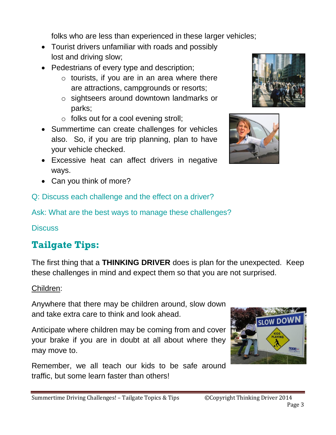folks who are less than experienced in these larger vehicles;

- Tourist drivers unfamiliar with roads and possibly lost and driving slow;
- Pedestrians of every type and description;
	- $\circ$  tourists, if you are in an area where there are attractions, campgrounds or resorts;
	- o sightseers around downtown landmarks or parks;
	- o folks out for a cool evening stroll;
- Summertime can create challenges for vehicles also. So, if you are trip planning, plan to have your vehicle checked.
- Excessive heat can affect drivers in negative ways.
- Can you think of more?

Q: Discuss each challenge and the effect on a driver?

Ask: What are the best ways to manage these challenges?

## **Discuss**

# **Tailgate Tips:**

The first thing that a **THINKING DRIVER** does is plan for the unexpected. Keep these challenges in mind and expect them so that you are not surprised.

### Children:

Anywhere that there may be children around, slow down and take extra care to think and look ahead.

Anticipate where children may be coming from and cover your brake if you are in doubt at all about where they may move to.

Remember, we all teach our kids to be safe around traffic, but some learn faster than others!







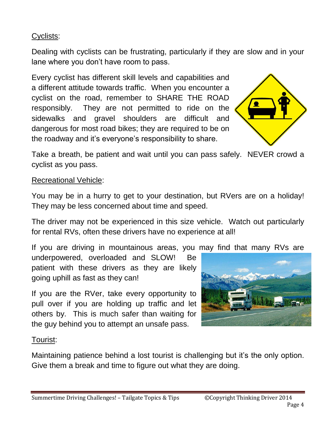### Cyclists:

Dealing with cyclists can be frustrating, particularly if they are slow and in your lane where you don't have room to pass.

Every cyclist has different skill levels and capabilities and a different attitude towards traffic. When you encounter a cyclist on the road, remember to SHARE THE ROAD responsibly. They are not permitted to ride on the sidewalks and gravel shoulders are difficult and dangerous for most road bikes; they are required to be on the roadway and it's everyone's responsibility to share.



Take a breath, be patient and wait until you can pass safely. NEVER crowd a cyclist as you pass.

### Recreational Vehicle:

You may be in a hurry to get to your destination, but RVers are on a holiday! They may be less concerned about time and speed.

The driver may not be experienced in this size vehicle. Watch out particularly for rental RVs, often these drivers have no experience at all!

If you are driving in mountainous areas, you may find that many RVs are underpowered, overloaded and SLOW! Be patient with these drivers as they are likely going uphill as fast as they can!

If you are the RVer, take every opportunity to pull over if you are holding up traffic and let others by. This is much safer than waiting for the guy behind you to attempt an unsafe pass.



### Tourist:

Maintaining patience behind a lost tourist is challenging but it's the only option. Give them a break and time to figure out what they are doing.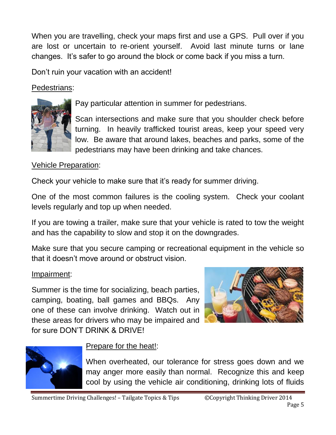When you are travelling, check your maps first and use a GPS. Pull over if you are lost or uncertain to re-orient yourself. Avoid last minute turns or lane changes. It's safer to go around the block or come back if you miss a turn.

Don't ruin your vacation with an accident!

Pedestrians:



Pay particular attention in summer for pedestrians.

Scan intersections and make sure that you shoulder check before turning. In heavily trafficked tourist areas, keep your speed very low. Be aware that around lakes, beaches and parks, some of the pedestrians may have been drinking and take chances.

### Vehicle Preparation:

Check your vehicle to make sure that it's ready for summer driving.

One of the most common failures is the cooling system. Check your coolant levels regularly and top up when needed.

If you are towing a trailer, make sure that your vehicle is rated to tow the weight and has the capability to slow and stop it on the downgrades.

Make sure that you secure camping or recreational equipment in the vehicle so that it doesn't move around or obstruct vision.

### Impairment:

Summer is the time for socializing, beach parties, camping, boating, ball games and BBQs. Any one of these can involve drinking. Watch out in these areas for drivers who may be impaired and for sure DON'T DRINK & DRIVE!





### Prepare for the heat!:

When overheated, our tolerance for stress goes down and we may anger more easily than normal. Recognize this and keep cool by using the vehicle air conditioning, drinking lots of fluids